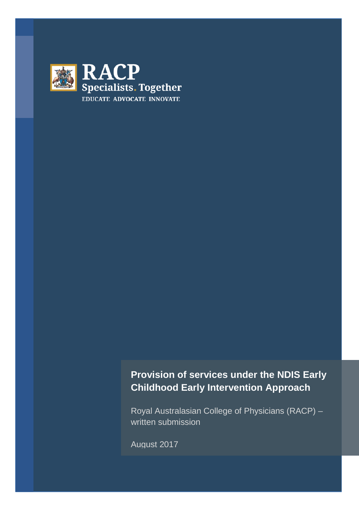

# **Provision of services under the NDIS Early Childhood Early Intervention Approach**

Royal Australasian College of Physicians (RACP) – written submission

August 2017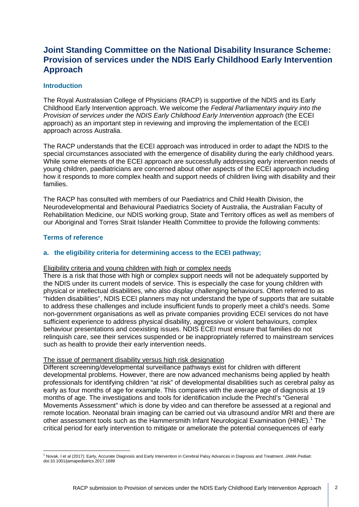# **Joint Standing Committee on the National Disability Insurance Scheme: Provision of services under the NDIS Early Childhood Early Intervention Approach**

# **Introduction**

The Royal Australasian College of Physicians (RACP) is supportive of the NDIS and its Early Childhood Early Intervention approach. We welcome the *Federal Parliamentary inquiry into the Provision of services under the NDIS Early Childhood Early Intervention approach* (the ECEI approach) as an important step in reviewing and improving the implementation of the ECEI approach across Australia.

The RACP understands that the ECEI approach was introduced in order to adapt the NDIS to the special circumstances associated with the emergence of disability during the early childhood years. While some elements of the ECEI approach are successfully addressing early intervention needs of young children, paediatricians are concerned about other aspects of the ECEI approach including how it responds to more complex health and support needs of children living with disability and their families.

The RACP has consulted with members of our Paediatrics and Child Health Division, the Neurodevelopmental and Behavioural Paediatrics Society of Australia, the Australian Faculty of Rehabilitation Medicine, our NDIS working group, State and Territory offices as well as members of our Aboriginal and Torres Strait Islander Health Committee to provide the following comments:

# **Terms of reference**

### **a. the eligibility criteria for determining access to the ECEI pathway;**

#### Eligibility criteria and young children with high or complex needs

There is a risk that those with high or complex support needs will not be adequately supported by the NDIS under its current models of service. This is especially the case for young children with physical or intellectual disabilities, who also display challenging behaviours. Often referred to as "hidden disabilities", NDIS ECEI planners may not understand the type of supports that are suitable to address these challenges and include insufficient funds to properly meet a child's needs. Some non-government organisations as well as private companies providing ECEI services do not have sufficient experience to address physical disability, aggressive or violent behaviours, complex behaviour presentations and coexisting issues. NDIS ECEI must ensure that families do not relinquish care, see their services suspended or be inappropriately referred to mainstream services such as health to provide their early intervention needs.

#### The issue of permanent disability versus high risk designation

Different screening/developmental surveillance pathways exist for children with different developmental problems. However, there are now advanced mechanisms being applied by health professionals for identifying children "at risk" of developmental disabilities such as cerebral palsy as early as four months of age for example. This compares with the average age of diagnosis at 19 months of age. The investigations and tools for identification include the Prechtl's "General Movements Assessment" which is done by video and can therefore be assessed at a regional and remote location. Neonatal brain imaging can be carried out via ultrasound and/or MRI and there are other assessment tools such as the Hammersmith Infant Neurological Examination (HINE).<sup>[1](#page-1-0)</sup> The critical period for early intervention to mitigate or ameliorate the potential consequences of early

<span id="page-1-0"></span><sup>1</sup> Novak, I et al (2017): Early, Accurate Diagnosis and Early Intervention in Cerebral Palsy Advances in Diagnosis and Treatment. *JAMA Pediatr*. doi:10.1001/jamapediatrics.2017.1689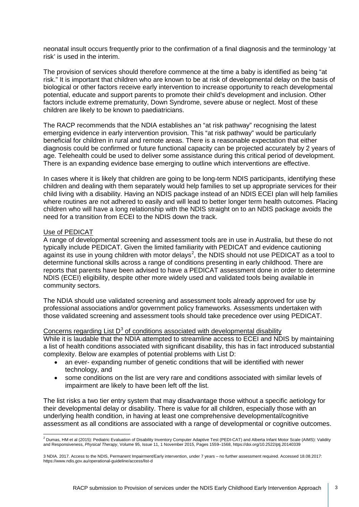neonatal insult occurs frequently prior to the confirmation of a final diagnosis and the terminology 'at risk' is used in the interim.

The provision of services should therefore commence at the time a baby is identified as being "at risk." It is important that children who are known to be at risk of developmental delay on the basis of biological or other factors receive early intervention to increase opportunity to reach developmental potential, educate and support parents to promote their child's development and inclusion. Other factors include extreme prematurity, Down Syndrome, severe abuse or neglect. Most of these children are likely to be known to paediatricians.

The RACP recommends that the NDIA establishes an "at risk pathway" recognising the latest emerging evidence in early intervention provision. This "at risk pathway" would be particularly beneficial for children in rural and remote areas. There is a reasonable expectation that either diagnosis could be confirmed or future functional capacity can be projected accurately by 2 years of age. Telehealth could be used to deliver some assistance during this critical period of development. There is an expanding evidence base emerging to outline which interventions are effective.

In cases where it is likely that children are going to be long-term NDIS participants, identifying these children and dealing with them separately would help families to set up appropriate services for their child living with a disability. Having an NDIS package instead of an NDIS ECEI plan will help families where routines are not adhered to easily and will lead to better longer term health outcomes. Placing children who will have a long relationship with the NDIS straight on to an NDIS package avoids the need for a transition from ECEI to the NDIS down the track.

#### Use of PEDICAT

A range of developmental screening and assessment tools are in use in Australia, but these do not typically include PEDICAT. Given the limited familiarity with PEDICAT and evidence cautioning against its use in young children with motor delays<sup>[2](#page-2-0)</sup>, the NDIS should not use PEDICAT as a tool to determine functional skills across a range of conditions presenting in early childhood. There are reports that parents have been advised to have a PEDICAT assessment done in order to determine NDIS (ECEI) eligibility, despite other more widely used and validated tools being available in community sectors.

The NDIA should use validated screening and assessment tools already approved for use by professional associations and/or government policy frameworks. Assessments undertaken with those validated screening and assessment tools should take precedence over using PEDICAT.

#### Concerns regarding List  $D<sup>3</sup>$  $D<sup>3</sup>$  $D<sup>3</sup>$  of conditions associated with developmental disability

While it is laudable that the NDIA attempted to streamline access to ECEI and NDIS by maintaining a list of health conditions associated with significant disability, this has in fact introduced substantial complexity. Below are examples of potential problems with List D:

- an ever- expanding number of genetic conditions that will be identified with newer technology, and
- some conditions on the list are very rare and conditions associated with similar levels of impairment are likely to have been left off the list.

The list risks a two tier entry system that may disadvantage those without a specific aetiology for their developmental delay or disability. There is value for all children, especially those with an underlying health condition, in having at least one comprehensive developmental/cognitive assessment as all conditions are associated with a range of developmental or cognitive outcomes.

<span id="page-2-0"></span><sup>2</sup> Dumas, HM et al (2015): Pediatric Evaluation of Disability Inventory Computer Adaptive Test (PEDI-CAT) and Alberta Infant Motor Scale (AIMS): Validity and Responsiveness, *Physical Therapy*, Volume 95, Issue 11, 1 November 2015, Pages 1559–1568, https://doi.org/10.2522/ptj.20140339

<span id="page-2-1"></span><sup>3</sup> NDIA. 2017. Access to the NDIS, Permanent Impairment/Early intervention, under 7 years – no further assessment required. Accessed 18.08.2017: <https://www.ndis.gov.au/operational-guideline/access/list-d>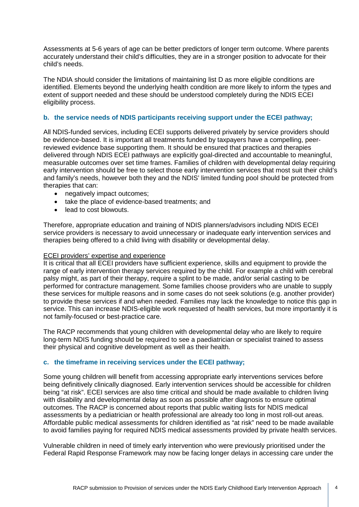Assessments at 5-6 years of age can be better predictors of longer term outcome. Where parents accurately understand their child's difficulties, they are in a stronger position to advocate for their child's needs.

The NDIA should consider the limitations of maintaining list D as more eligible conditions are identified. Elements beyond the underlying health condition are more likely to inform the types and extent of support needed and these should be understood completely during the NDIS ECEI eligibility process.

# **b. the service needs of NDIS participants receiving support under the ECEI pathway;**

All NDIS-funded services, including ECEI supports delivered privately by service providers should be evidence-based. It is important all treatments funded by taxpayers have a compelling, peerreviewed evidence base supporting them. It should be ensured that practices and therapies delivered through NDIS ECEI pathways are explicitly goal-directed and accountable to meaningful, measurable outcomes over set time frames. Families of children with developmental delay requiring early intervention should be free to select those early intervention services that most suit their child's and family's needs, however both they and the NDIS' limited funding pool should be protected from therapies that can:

- negatively impact outcomes;
- take the place of evidence-based treatments; and
- lead to cost blowouts.

Therefore, appropriate education and training of NDIS planners/advisors including NDIS ECEI service providers is necessary to avoid unnecessary or inadequate early intervention services and therapies being offered to a child living with disability or developmental delay.

# ECEI providers' expertise and experience

It is critical that all ECEI providers have sufficient experience, skills and equipment to provide the range of early intervention therapy services required by the child. For example a child with cerebral palsy might, as part of their therapy, require a splint to be made, and/or serial casting to be performed for contracture management. Some families choose providers who are unable to supply these services for multiple reasons and in some cases do not seek solutions (e.g. another provider) to provide these services if and when needed. Families may lack the knowledge to notice this gap in service. This can increase NDIS-eligible work requested of health services, but more importantly it is not family-focused or best-practice care.

The RACP recommends that young children with developmental delay who are likely to require long-term NDIS funding should be required to see a paediatrician or specialist trained to assess their physical and cognitive development as well as their health.

#### **c. the timeframe in receiving services under the ECEI pathway;**

Some young children will benefit from accessing appropriate early interventions services before being definitively clinically diagnosed. Early intervention services should be accessible for children being "at risk". ECEI services are also time critical and should be made available to children living with disability and developmental delay as soon as possible after diagnosis to ensure optimal outcomes. The RACP is concerned about reports that public waiting lists for NDIS medical assessments by a pediatrician or health professional are already too long in most roll-out areas. Affordable public medical assessments for children identified as "at risk" need to be made available to avoid families paying for required NDIS medical assessments provided by private health services.

Vulnerable children in need of timely early intervention who were previously prioritised under the Federal Rapid Response Framework may now be facing longer delays in accessing care under the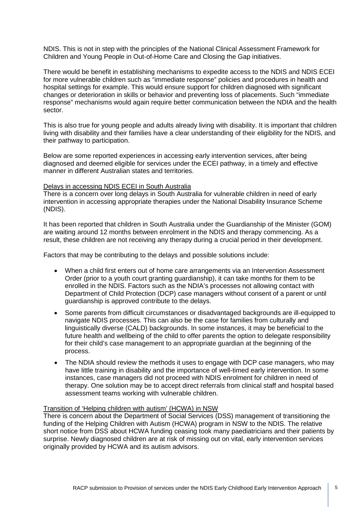NDIS. This is not in step with the principles of the National Clinical Assessment Framework for Children and Young People in Out-of-Home Care and Closing the Gap initiatives.

There would be benefit in establishing mechanisms to expedite access to the NDIS and NDIS ECEI for more vulnerable children such as "immediate response" policies and procedures in health and hospital settings for example. This would ensure support for children diagnosed with significant changes or deterioration in skills or behavior and preventing loss of placements. Such "immediate response" mechanisms would again require better communication between the NDIA and the health sector.

This is also true for young people and adults already living with disability. It is important that children living with disability and their families have a clear understanding of their eligibility for the NDIS, and their pathway to participation.

Below are some reported experiences in accessing early intervention services, after being diagnosed and deemed eligible for services under the ECEI pathway, in a timely and effective manner in different Australian states and territories.

#### Delays in accessing NDIS ECEI in South Australia

There is a concern over long delays in South Australia for vulnerable children in need of early intervention in accessing appropriate therapies under the National Disability Insurance Scheme (NDIS).

It has been reported that children in South Australia under the Guardianship of the Minister (GOM) are waiting around 12 months between enrolment in the NDIS and therapy commencing. As a result, these children are not receiving any therapy during a crucial period in their development.

Factors that may be contributing to the delays and possible solutions include:

- When a child first enters out of home care arrangements via an Intervention Assessment Order (prior to a youth court granting guardianship), it can take months for them to be enrolled in the NDIS. Factors such as the NDIA's processes not allowing contact with Department of Child Protection (DCP) case managers without consent of a parent or until guardianship is approved contribute to the delays.
- Some parents from difficult circumstances or disadvantaged backgrounds are ill-equipped to navigate NDIS processes. This can also be the case for families from culturally and linguistically diverse (CALD) backgrounds. In some instances, it may be beneficial to the future health and wellbeing of the child to offer parents the option to delegate responsibility for their child's case management to an appropriate guardian at the beginning of the process.
- The NDIA should review the methods it uses to engage with DCP case managers, who may have little training in disability and the importance of well-timed early intervention. In some instances, case managers did not proceed with NDIS enrolment for children in need of therapy. One solution may be to accept direct referrals from clinical staff and hospital based assessment teams working with vulnerable children.

#### Transition of 'Helping children with autism' (HCWA) in NSW

There is concern about the Department of Social Services (DSS) management of transitioning the funding of the Helping Children with Autism (HCWA) program in NSW to the NDIS. The relative short notice from DSS about HCWA funding ceasing took many paediatricians and their patients by surprise. Newly diagnosed children are at risk of missing out on vital, early intervention services originally provided by HCWA and its autism advisors.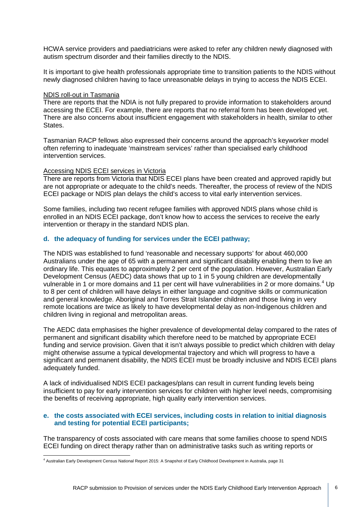HCWA service providers and paediatricians were asked to refer any children newly diagnosed with autism spectrum disorder and their families directly to the NDIS.

It is important to give health professionals appropriate time to transition patients to the NDIS without newly diagnosed children having to face unreasonable delays in trying to access the NDIS ECEI.

#### NDIS roll-out in Tasmania

There are reports that the NDIA is not fully prepared to provide information to stakeholders around accessing the ECEI. For example, there are reports that no referral form has been developed yet. There are also concerns about insufficient engagement with stakeholders in health, similar to other **States** 

Tasmanian RACP fellows also expressed their concerns around the approach's keyworker model often referring to inadequate 'mainstream services' rather than specialised early childhood intervention services.

#### Accessing NDIS ECEI services in Victoria

There are reports from Victoria that NDIS ECEI plans have been created and approved rapidly but are not appropriate or adequate to the child's needs. Thereafter, the process of review of the NDIS ECEI package or NDIS plan delays the child's access to vital early intervention services.

Some families, including two recent refugee families with approved NDIS plans whose child is enrolled in an NDIS ECEI package, don't know how to access the services to receive the early intervention or therapy in the standard NDIS plan.

#### **d. the adequacy of funding for services under the ECEI pathway;**

The NDIS was established to fund 'reasonable and necessary supports' for about 460,000 Australians under the age of 65 with a permanent and significant disability enabling them to live an ordinary life. This equates to approximately 2 per cent of the population. However, Australian Early Development Census (AEDC) data shows that up to 1 in 5 young children are developmentally vulnerable in 1 or more domains and 11 per cent will have vulnerabilities in 2 or more domains.<sup>[4](#page-5-0)</sup> Up to 8 per cent of children will have delays in either language and cognitive skills or communication and general knowledge. Aboriginal and Torres Strait Islander children and those living in very remote locations are twice as likely to have developmental delay as non-Indigenous children and children living in regional and metropolitan areas.

The AEDC data emphasises the higher prevalence of developmental delay compared to the rates of permanent and significant disability which therefore need to be matched by appropriate ECEI funding and service provision. Given that it isn't always possible to predict which children with delay might otherwise assume a typical developmental trajectory and which will progress to have a significant and permanent disability, the NDIS ECEI must be broadly inclusive and NDIS ECEI plans adequately funded.

A lack of individualised NDIS ECEI packages/plans can result in current funding levels being insufficient to pay for early intervention services for children with higher level needs, compromising the benefits of receiving appropriate, high quality early intervention services.

# **e. the costs associated with ECEI services, including costs in relation to initial diagnosis and testing for potential ECEI participants;**

The transparency of costs associated with care means that some families choose to spend NDIS ECEI funding on direct therapy rather than on administrative tasks such as writing reports or

<span id="page-5-0"></span><sup>4</sup> Australian Early Development Census National Report 2015: A Snapshot of Early Childhood Development in Australia, page 31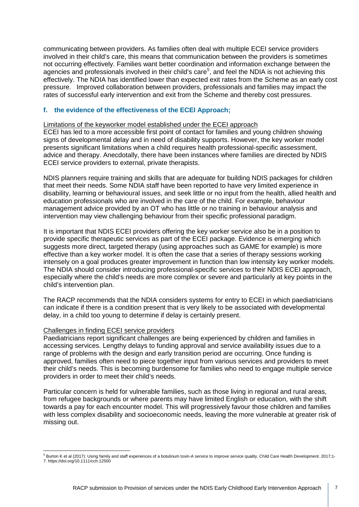communicating between providers. As families often deal with multiple ECEI service providers involved in their child's care, this means that communication between the providers is sometimes not occurring effectively. Families want better coordination and information exchange between the agencies and professionals involved in their child's care<sup>[5](#page-6-0)</sup>, and feel the NDIA is not achieving this effectively. The NDIA has identified lower than expected exit rates from the Scheme as an early cost pressure. Improved collaboration between providers, professionals and families may impact the rates of successful early intervention and exit from the Scheme and thereby cost pressures.

# **f. the evidence of the effectiveness of the ECEI Approach;**

#### Limitations of the keyworker model established under the ECEI approach

ECEI has led to a more accessible first point of contact for families and young children showing signs of developmental delay and in need of disability supports. However, the key worker model presents significant limitations when a child requires health professional-specific assessment, advice and therapy. Anecdotally, there have been instances where families are directed by NDIS ECEI service providers to external, private therapists.

NDIS planners require training and skills that are adequate for building NDIS packages for children that meet their needs. Some NDIA staff have been reported to have very limited experience in disability, learning or behavioural issues, and seek little or no input from the health, allied health and education professionals who are involved in the care of the child. For example, behaviour management advice provided by an OT who has little or no training in behaviour analysis and intervention may view challenging behaviour from their specific professional paradigm.

It is important that NDIS ECEI providers offering the key worker service also be in a position to provide specific therapeutic services as part of the ECEI package. Evidence is emerging which suggests more direct, targeted therapy (using approaches such as GAME for example) is more effective than a key worker model. It is often the case that a series of therapy sessions working intensely on a goal produces greater improvement in function than low intensity key worker models. The NDIA should consider introducing professional-specific services to their NDIS ECEI approach, especially where the child's needs are more complex or severe and particularly at key points in the child's intervention plan.

The RACP recommends that the NDIA considers systems for entry to ECEI in which paediatricians can indicate if there is a condition present that is very likely to be associated with developmental delay, in a child too young to determine if delay is certainly present.

#### Challenges in finding ECEI service providers

Paediatricians report significant challenges are being experienced by children and families in accessing services. Lengthy delays to funding approval and service availability issues due to a range of problems with the design and early transition period are occurring. Once funding is approved, families often need to piece together input from various services and providers to meet their child's needs. This is becoming burdensome for families who need to engage multiple service providers in order to meet their child's needs.

Particular concern is held for vulnerable families, such as those living in regional and rural areas, from refugee backgrounds or where parents may have limited English or education, with the shift towards a pay for each encounter model. This will progressively favour those children and families with less complex disability and socioeconomic needs, leaving the more vulnerable at greater risk of missing out.

<span id="page-6-0"></span><sup>5</sup> Burton K et al (2017): Using family and staff experiences of a botulinum toxin-A service to improve service quality. Child Care Health Development. 2017;1- 7. https://doi.org/10.1111/cch.12500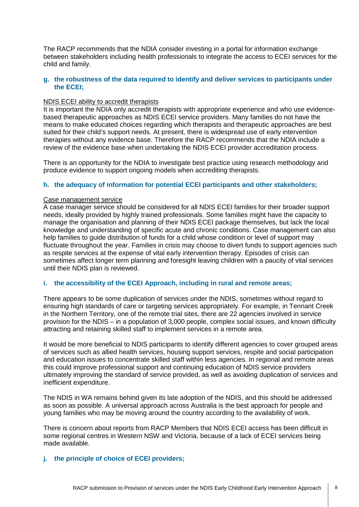The RACP recommends that the NDIA consider investing in a portal for information exchange between stakeholders including health professionals to integrate the access to ECEI services for the child and family.

# **g. the robustness of the data required to identify and deliver services to participants under the ECEI;**

# NDIS ECEI ability to accredit therapists

It is important the NDIA only accredit therapists with appropriate experience and who use evidencebased therapeutic approaches as NDIS ECEI service providers. Many families do not have the means to make educated choices regarding which therapists and therapeutic approaches are best suited for their child's support needs. At present, there is widespread use of early intervention therapies without any evidence base. Therefore the RACP recommends that the NDIA include a review of the evidence base when undertaking the NDIS ECEI provider accreditation process.

There is an opportunity for the NDIA to investigate best practice using research methodology and produce evidence to support ongoing models when accrediting therapists.

# **h. the adequacy of information for potential ECEI participants and other stakeholders;**

# Case management service

A case manager service should be considered for all NDIS ECEI families for their broader support needs, ideally provided by highly trained professionals. Some families might have the capacity to manage the organisation and planning of their NDIS ECEI package themselves, but lack the local knowledge and understanding of specific acute and chronic conditions. Case management can also help families to guide distribution of funds for a child whose condition or level of support may fluctuate throughout the year. Families in crisis may choose to divert funds to support agencies such as respite services at the expense of vital early intervention therapy. Episodes of crisis can sometimes affect longer term planning and foresight leaving children with a paucity of vital services until their NDIS plan is reviewed.

# **i. the accessibility of the ECEI Approach, including in rural and remote areas;**

There appears to be some duplication of services under the NDIS, sometimes without regard to ensuring high standards of care or targeting services appropriately. For example, in Tennant Creek in the Northern Territory, one of the remote trial sites, there are 22 agencies involved in service provision for the NDIS – in a population of 3,000 people, complex social issues, and known difficulty attracting and retaining skilled staff to implement services in a remote area.

It would be more beneficial to NDIS participants to identify different agencies to cover grouped areas of services such as allied health services, housing support services, respite and social participation and education issues to concentrate skilled staff within less agencies. In regional and remote areas this could improve professional support and continuing education of NDIS service providers ultimately improving the standard of service provided, as well as avoiding duplication of services and inefficient expenditure.

The NDIS in WA remains behind given its late adoption of the NDIS, and this should be addressed as soon as possible. A universal approach across Australia is the best approach for people and young families who may be moving around the country according to the availability of work.

There is concern about reports from RACP Members that NDIS ECEI access has been difficult in some regional centres in Western NSW and Victoria, because of a lack of ECEI services being made available.

# **j. the principle of choice of ECEI providers;**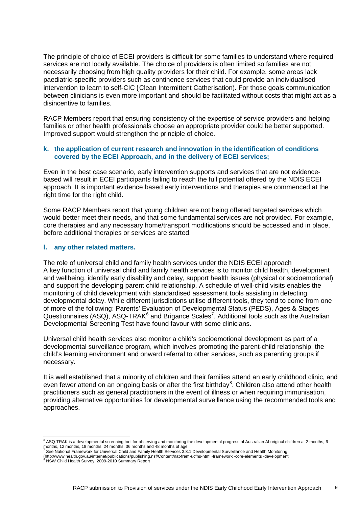The principle of choice of ECEI providers is difficult for some families to understand where required services are not locally available. The choice of providers is often limited so families are not necessarily choosing from high quality providers for their child. For example, some areas lack paediatric-specific providers such as continence services that could provide an individualised intervention to learn to self-CIC (Clean Intermittent Catherisation). For those goals communication between clinicians is even more important and should be facilitated without costs that might act as a disincentive to families.

RACP Members report that ensuring consistency of the expertise of service providers and helping families or other health professionals choose an appropriate provider could be better supported. Improved support would strengthen the principle of choice.

# **k. the application of current research and innovation in the identification of conditions covered by the ECEI Approach, and in the delivery of ECEI services;**

Even in the best case scenario, early intervention supports and services that are not evidencebased will result in ECEI participants failing to reach the full potential offered by the NDIS ECEI approach. It is important evidence based early interventions and therapies are commenced at the right time for the right child.

Some RACP Members report that young children are not being offered targeted services which would better meet their needs, and that some fundamental services are not provided. For example, core therapies and any necessary home/transport modifications should be accessed and in place, before additional therapies or services are started.

# **l. any other related matters.**

The role of universal child and family health services under the NDIS ECEI approach A key function of universal child and family health services is to monitor child health, development and wellbeing, identify early disability and delay, support health issues (physical or socioemotional) and support the developing parent child relationship. A schedule of well-child visits enables the monitoring of child development with standardised assessment tools assisting in detecting developmental delay. While different jurisdictions utilise different tools, they tend to come from one of more of the following: Parents' Evaluation of Developmental Status (PEDS), Ages & Stages Questionnaires (ASQ), ASQ-TRAK $^6$  $^6$  and Brigance Scales<sup>[7](#page-8-1)</sup>. Additional tools such as the Australian Developmental Screening Test have found favour with some clinicians.

Universal child health services also monitor a child's socioemotional development as part of a developmental surveillance program, which involves promoting the parent-child relationship, the child's learning environment and onward referral to other services, such as parenting groups if necessary.

It is well established that a minority of children and their families attend an early childhood clinic, and even fewer attend on an ongoing basis or after the first birthday<sup>[8](#page-8-2)</sup>. Children also attend other health practitioners such as general practitioners in the event of illness or when requiring immunisation, providing alternative opportunities for developmental surveillance using the recommended tools and approaches.

<sup>6</sup> ASQ-TRAK is a developmental screening tool for observing and monitoring the developmental progress of Australian Aboriginal children at 2 months, 6 months, 12 months, 18 months, 24 months, 36 months and 48 months of age<br><sup>7</sup> See National Framework for Universal Child and Family Health Services 3.8.1 Developmental Surveillance and Health Monitoring

<span id="page-8-2"></span><span id="page-8-1"></span><span id="page-8-0"></span><sup>(</sup>http://www.health.gov.au/internet/publications/publishing.nsf/Content/nat-fram-ucfhs-html~framework~core-elements~development <sup>8</sup> NSW Child Health Survey: 2009-2010 Summary Report